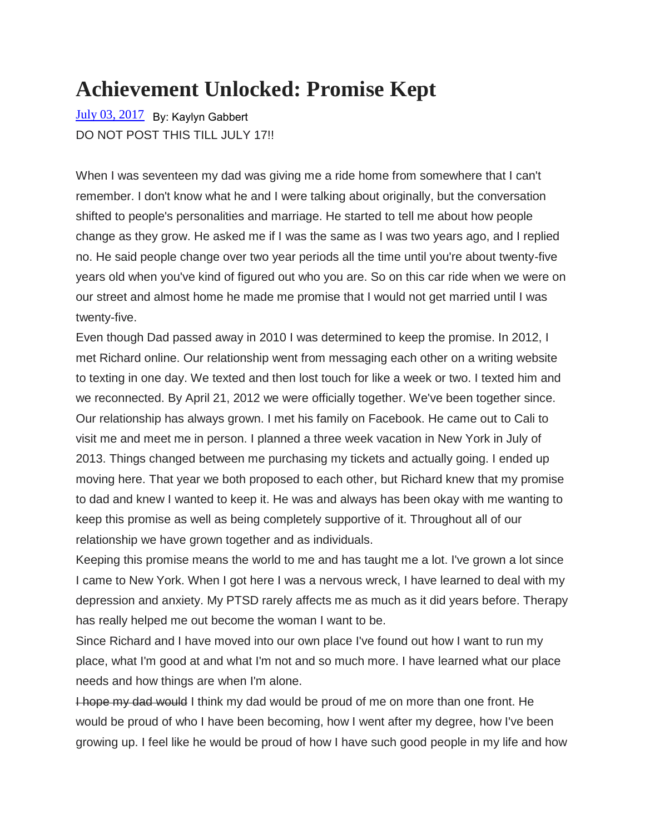## **Achievement Unlocked: Promise Kept**

[July 03, 2017](http://kaylynsworldimaginaryandnot.blogspot.com/2017/07/achievement-unlocked-promise-kept.html) By: Kaylyn GabbertDO NOT POST THIS TILL JULY 17!!

When I was seventeen my dad was giving me a ride home from somewhere that I can't remember. I don't know what he and I were talking about originally, but the conversation shifted to people's personalities and marriage. He started to tell me about how people change as they grow. He asked me if I was the same as I was two years ago, and I replied no. He said people change over two year periods all the time until you're about twenty-five years old when you've kind of figured out who you are. So on this car ride when we were on our street and almost home he made me promise that I would not get married until I was twenty-five.

Even though Dad passed away in 2010 I was determined to keep the promise. In 2012, I met Richard online. Our relationship went from messaging each other on a writing website to texting in one day. We texted and then lost touch for like a week or two. I texted him and we reconnected. By April 21, 2012 we were officially together. We've been together since. Our relationship has always grown. I met his family on Facebook. He came out to Cali to visit me and meet me in person. I planned a three week vacation in New York in July of 2013. Things changed between me purchasing my tickets and actually going. I ended up moving here. That year we both proposed to each other, but Richard knew that my promise to dad and knew I wanted to keep it. He was and always has been okay with me wanting to keep this promise as well as being completely supportive of it. Throughout all of our relationship we have grown together and as individuals.

Keeping this promise means the world to me and has taught me a lot. I've grown a lot since I came to New York. When I got here I was a nervous wreck, I have learned to deal with my depression and anxiety. My PTSD rarely affects me as much as it did years before. Therapy has really helped me out become the woman I want to be.

Since Richard and I have moved into our own place I've found out how I want to run my place, what I'm good at and what I'm not and so much more. I have learned what our place needs and how things are when I'm alone.

I hope my dad would I think my dad would be proud of me on more than one front. He would be proud of who I have been becoming, how I went after my degree, how I've been growing up. I feel like he would be proud of how I have such good people in my life and how